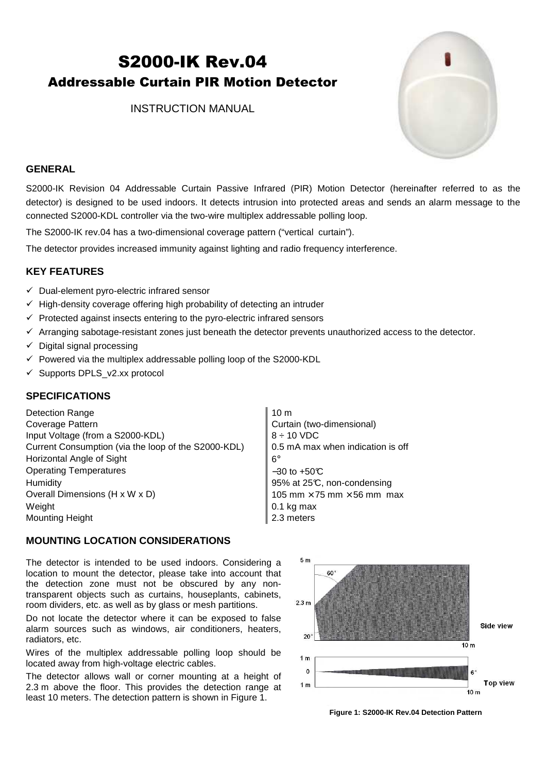# S2000-IK Rev.04 Addressable Curtain PIR Motion Detector

INSTRUCTION MANUAL



### **GENERAL**

S2000-IK Revision 04 Addressable Curtain Passive Infrared (PIR) Motion Detector (hereinafter referred to as the detector) is designed to be used indoors. It detects intrusion into protected areas and sends an alarm message to the connected S2000-KDL controller via the two-wire multiplex addressable polling loop.

The S2000-IK rev.04 has a two-dimensional coverage pattern ("vertical curtain").

The detector provides increased immunity against lighting and radio frequency interference.

## **KEY FEATURES**

- $\checkmark$  Dual-element pyro-electric infrared sensor
- $\checkmark$  High-density coverage offering high probability of detecting an intruder
- $\checkmark$  Protected against insects entering to the pyro-electric infrared sensors
- $\checkmark$  Arranging sabotage-resistant zones just beneath the detector prevents unauthorized access to the detector.
- $\checkmark$  Digital signal processing
- $\checkmark$  Powered via the multiplex addressable polling loop of the S2000-KDL
- $\checkmark$  Supports DPLS\_v2.xx protocol

#### **SPECIFICATIONS**

Detection Range 10 m Coverage Pattern **Coverage Pattern Curtain (two-dimensional)** Input Voltage (from a S2000-KDL)  $\begin{array}{c} |8 \div 10 \text{ VDC} \end{array}$ Current Consumption (via the loop of the S2000-KDL) 0.5 mA max when indication is off Horizontal Angle of Sight 6° Operating Temperatures −30 to +50°C Humidity **195%** at 25°C, non-condensing Overall Dimensions (H x W x D)  $105 \text{ mm} \times 75 \text{ mm} \times 56 \text{ mm}$  max Weight 0.1 kg max Mounting Height 2.3 meters

#### **MOUNTING LOCATION CONSIDERATIONS**

The detector is intended to be used indoors. Considering a location to mount the detector, please take into account that the detection zone must not be obscured by any nontransparent objects such as curtains, houseplants, cabinets, room dividers, etc. as well as by glass or mesh partitions.

Do not locate the detector where it can be exposed to false alarm sources such as windows, air conditioners, heaters, radiators, etc.

Wires of the multiplex addressable polling loop should be located away from high-voltage electric cables.

The detector allows wall or corner mounting at a height of 2.3 m above the floor. This provides the detection range at least 10 meters. The detection pattern is shown in Figure 1.



**Figure 1: S2000-IK Rev.04 Detection Pattern**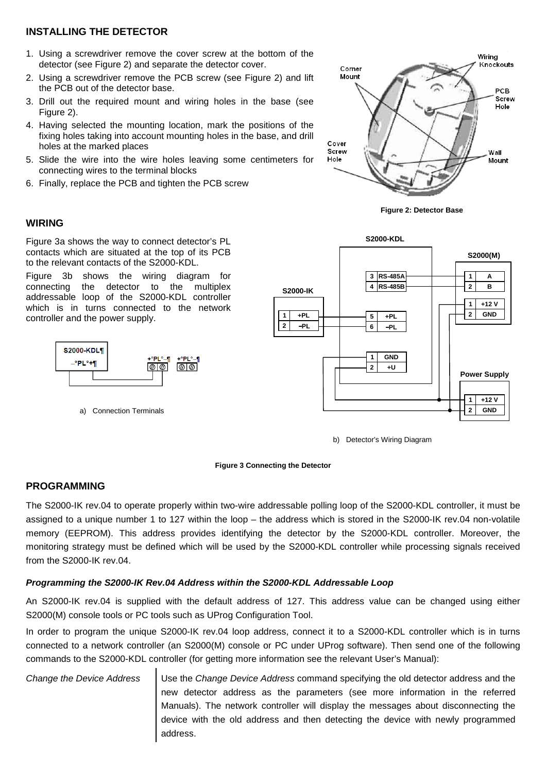## **INSTALLING THE DETECTOR**

- 1. Using a screwdriver remove the cover screw at the bottom of the detector (see Figure 2) and separate the detector cover.
- 2. Using a screwdriver remove the PCB screw (see Figure 2) and lift the PCB out of the detector base.
- 3. Drill out the required mount and wiring holes in the base (see Figure 2).
- 4. Having selected the mounting location, mark the positions of the fixing holes taking into account mounting holes in the base, and drill holes at the marked places
- 5. Slide the wire into the wire holes leaving some centimeters for connecting wires to the terminal blocks
- 6. Finally, replace the PCB and tighten the PCB screw



**Figure 2: Detector Base**

#### **WIRING**

Figure 3a shows the way to connect detector's PL contacts which are situated at the top of its PCB to the relevant contacts of the S2000-KDL.

Figure 3b shows the wiring diagram for connecting the detector to the multiplex addressable loop of the S2000-KDL controller which is in turns connected to the network controller and the power supply.



a) Connection Terminals



b) Detector's Wiring Diagram



## **PROGRAMMING**

The S2000-IK rev.04 to operate properly within two-wire addressable polling loop of the S2000-KDL controller, it must be assigned to a unique number 1 to 127 within the loop – the address which is stored in the S2000-IK rev.04 non-volatile memory (EEPROM). This address provides identifying the detector by the S2000-KDL controller. Moreover, the monitoring strategy must be defined which will be used by the S2000-KDL controller while processing signals received from the S2000-IK rev.04.

#### **Programming the S2000-IK Rev.04 Address within the S2000-KDL Addressable Loop**

An S2000-IK rev.04 is supplied with the default address of 127. This address value can be changed using either S2000(M) console tools or PC tools such as UProg Configuration Tool.

In order to program the unique S2000-IK rev.04 loop address, connect it to a S2000-KDL controller which is in turns connected to a network controller (an S2000(M) console or PC under UProg software). Then send one of the following commands to the S2000-KDL controller (for getting more information see the relevant User's Manual):

Change the Device Address  $\Box$  Use the Change Device Address command specifying the old detector address and the new detector address as the parameters (see more information in the referred Manuals). The network controller will display the messages about disconnecting the device with the old address and then detecting the device with newly programmed address.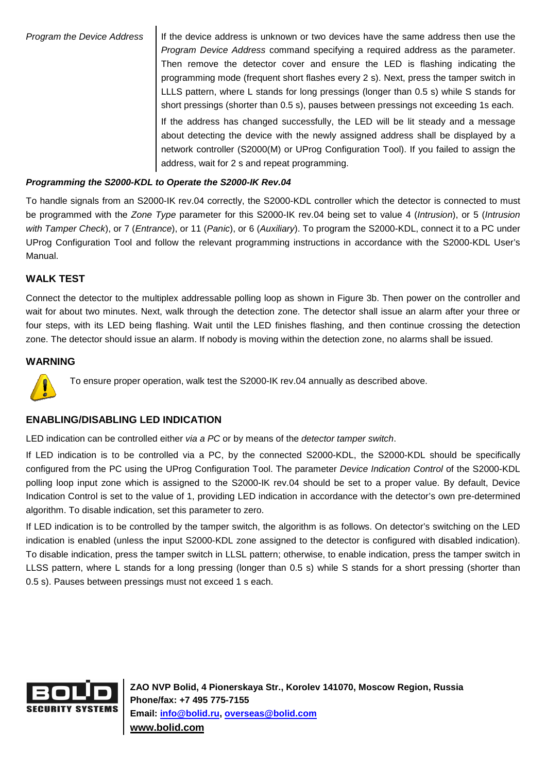Program the Device Address  $\parallel$  If the device address is unknown or two devices have the same address then use the Program Device Address command specifying a required address as the parameter. Then remove the detector cover and ensure the LED is flashing indicating the programming mode (frequent short flashes every 2 s). Next, press the tamper switch in LLLS pattern, where L stands for long pressings (longer than 0.5 s) while S stands for short pressings (shorter than 0.5 s), pauses between pressings not exceeding 1s each.

> If the address has changed successfully, the LED will be lit steady and a message about detecting the device with the newly assigned address shall be displayed by a network controller (S2000(M) or UProg Configuration Tool). If you failed to assign the address, wait for 2 s and repeat programming.

# **Programming the S2000-KDL to Operate the S2000-IK Rev.04**

To handle signals from an S2000-IK rev.04 correctly, the S2000-KDL controller which the detector is connected to must be programmed with the Zone Type parameter for this S2000-IK rev.04 being set to value 4 (Intrusion), or 5 (Intrusion with Tamper Check), or 7 (Entrance), or 11 (Panic), or 6 (Auxiliary). To program the S2000-KDL, connect it to a PC under UProg Configuration Tool and follow the relevant programming instructions in accordance with the S2000-KDL User's Manual.

# **WALK TEST**

Connect the detector to the multiplex addressable polling loop as shown in Figure 3b. Then power on the controller and wait for about two minutes. Next, walk through the detection zone. The detector shall issue an alarm after your three or four steps, with its LED being flashing. Wait until the LED finishes flashing, and then continue crossing the detection zone. The detector should issue an alarm. If nobody is moving within the detection zone, no alarms shall be issued.

# **WARNING**



To ensure proper operation, walk test the S2000-IK rev.04 annually as described above.

## **ENABLING/DISABLING LED INDICATION**

LED indication can be controlled either via a PC or by means of the detector tamper switch.

If LED indication is to be controlled via a PC, by the connected S2000-KDL, the S2000-KDL should be specifically configured from the PC using the UProg Configuration Tool. The parameter Device Indication Control of the S2000-KDL polling loop input zone which is assigned to the S2000-IK rev.04 should be set to a proper value. By default, Device Indication Control is set to the value of 1, providing LED indication in accordance with the detector's own pre-determined algorithm. To disable indication, set this parameter to zero.

If LED indication is to be controlled by the tamper switch, the algorithm is as follows. On detector's switching on the LED indication is enabled (unless the input S2000-KDL zone assigned to the detector is configured with disabled indication). To disable indication, press the tamper switch in LLSL pattern; otherwise, to enable indication, press the tamper switch in LLSS pattern, where L stands for a long pressing (longer than 0.5 s) while S stands for a short pressing (shorter than 0.5 s). Pauses between pressings must not exceed 1 s each.



**ZAO NVP Bolid, 4 Pionerskaya Str., Korolev 141070, Moscow Region, Russia Phone/fax: +7 495 775-7155 Email: info@bolid.ru, overseas@bolid.com www.bolid.com**